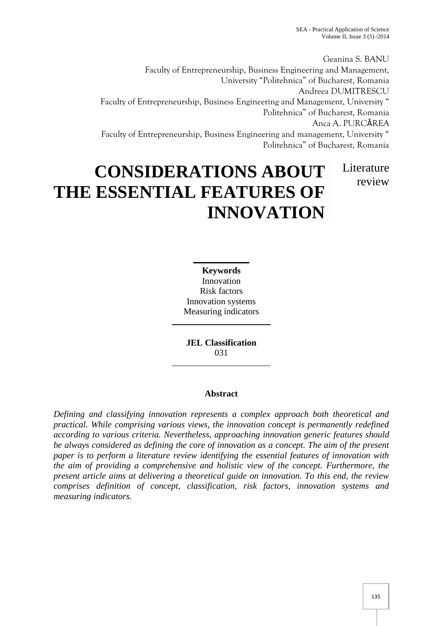Geanina S. BANU Faculty of Entrepreneurship, Business Engineering and Management, University "Politehnica" of Bucharest, Romania Andreea DUMITRESCU Faculty of Entrepreneurship, Business Engineering and Management, University " Politehnica" of Bucharest, Romania Anca A. PURCĂREA Faculty of Entrepreneurship, Business Engineering and management, University " Politehnica" of Bucharest, Romania

# **CONSIDERATIONS ABOUT THE ESSENTIAL FEATURES OF INNOVATION** Literature review

**Keywords** Innovation Risk factors Innovation systems Measuring indicators

**JEL Classification** 031

## **Abstract**

*Defining and classifying innovation represents a complex approach both theoretical and practical. While comprising various views, the innovation concept is permanently redefined according to various criteria. Nevertheless, approaching innovation generic features should be always considered as defining the core of innovation as a concept. The aim of the present paper is to perform a literature review identifying the essential features of innovation with the aim of providing a comprehensive and holistic view of the concept. Furthermore, the present article aims at delivering a theoretical guide on innovation. To this end, the review comprises definition of concept, classification, risk factors, innovation systems and measuring indicators.*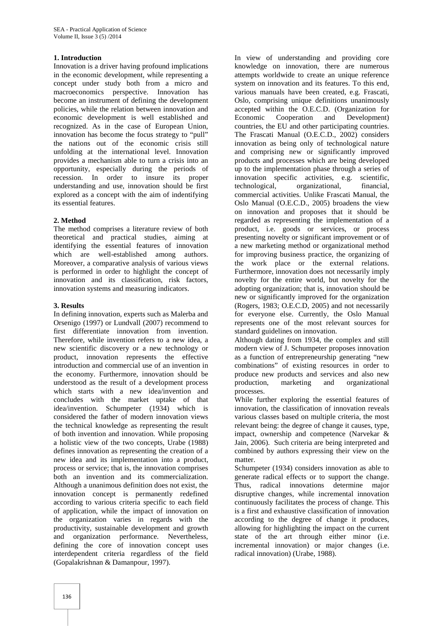#### **1. Introduction**

Innovation is a driver having profound implications in the economic development, while representing a concept under study both from a micro and macroeconomics perspective. Innovation has become an instrument of defining the development policies, while the relation between innovation and accepted veconomic development is well established and Economic economic development is well established and recognized. As in the case of European Union, innovation has become the focus strategy to "pull" the nations out of the economic crisis still unfolding at the international level. Innovation provides a mechanism able to turn a crisis into an opportunity, especially during the periods of recession. In order to insure its proper understanding and use, innovation should be first explored as a concept with the aim of indentifying its essential features.

#### **2. Method**

The method comprises a literature review of both theoretical and practical studies, aiming at identifying the essential features of innovation which are well-established among authors. Moreover, a comparative analysis of various views is performed in order to highlight the concept of innovation and its classification, risk factors, innovation systems and measuring indicators.

#### **3. Results**

In defining innovation, experts such as Malerba and Orsenigo (1997) or Lundvall (2007) recommend to first differentiate innovation from invention. Therefore, while invention refers to a new idea, a new scientific discovery or a new technology or product, innovation represents the effective introduction and commercial use of an invention in the economy. Furthermore, innovation should be understood as the result of a development process which starts with a new idea/invention and concludes with the market uptake of that idea/invention. Schumpeter (1934) which is considered the father of modern innovation views the technical knowledge as representing the result of both invention and innovation. While proposing a holistic view of the two concepts, Urabe (1988) defines innovation as representing the creation of a new idea and its implementation into a product, process or service; that is, the innovation comprises both an invention and its commercialization. Although a unanimous definition does not exist, the innovation concept is permanently redefined according to various criteria specific to each field of application, while the impact of innovation on the organization varies in regards with the productivity, sustainable development and growth and organization performance. Nevertheless, defining the core of innovation concept uses interdependent criteria regardless of the field (Gopalakrishnan & Damanpour, 1997).

In view of understanding and providing core knowledge on innovation, there are numerous attempts worldwide to create an unique reference system on innovation and its features. To this end, various manuals have been created, e.g. Frascati, Oslo, comprising unique definitions unanimously accepted within the O.E.C.D. (Organization for<br>Economic Cooperation and Development) Development) countries, the EU and other participating countries. The Frascati Manual (O.E.C.D., 2002) considers innovation as being only of technological nature and comprising new or significantly improved products and processes which are being developed up to the implementation phase through a series of innovation specific activities, e.g. scientific, technological, organizational, financial, commercial activities. Unlike Frascati Manual, the Oslo Manual (O.E.C.D., 2005) broadens the view on innovation and proposes that it should be regarded as representing the implementation of a product, i.e. goods or services, or process presenting novelty or significant improvement or of a new marketing method or organizational method for improving business practice, the organizing of the work place or the external relations. Furthermore, innovation does not necessarily imply novelty for the entire world, but novelty for the adopting organization; that is, innovation should be new or significantly improved for the organization (Rogers, 1983; O.E.C.D, 2005) and not necessarily for everyone else. Currently, the Oslo Manual represents one of the most relevant sources for standard guidelines on innovation.

Although dating from 1934, the complex and still modern view of J. Schumpeter proposes innovation as a function of entrepreneurship generating "new combinations" of existing resources in order to produce new products and services and also new production, marketing and organizational processes.

While further exploring the essential features of innovation, the classification of innovation reveals various classes based on multiple criteria, the most relevant being: the degree of change it causes, type, impact, ownership and competence (Narvekar & Jain, 2006). Such criteria are being interpreted and combined by authors expressing their view on the matter.

Schumpeter (1934) considers innovation as able to generate radical effects or to support the change. Thus, radical innovations determine major disruptive changes, while incremental innovation continuously facilitates the process of change. This is a first and exhaustive classification of innovation according to the degree of change it produces, allowing for highlighting the impact on the current state of the art through either minor (i.e. incremental innovation) or major changes (i.e. radical innovation) (Urabe, 1988).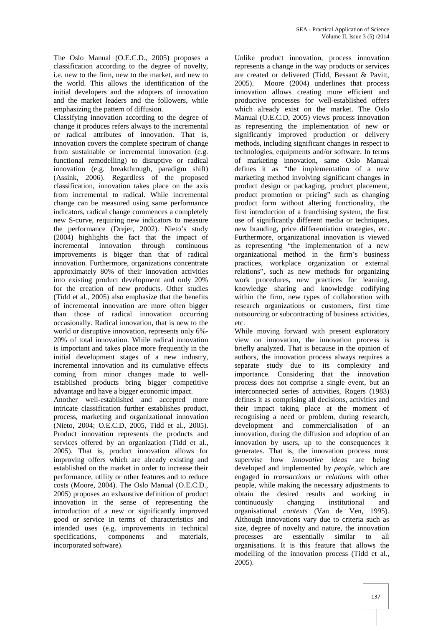The Oslo Manual (O.E.C.D., 2005) proposes a classification according to the degree of novelty, i.e. new to the firm, new to the market, and new to the world. This allows the identification of the initial developers and the adopters of innovation and the market leaders and the followers, while emphasizing the pattern of diffusion.

Classifying innovation according to the degree of change it produces refers always to the incremental or radical attributes of innovation. That is, innovation covers the complete spectrum of change from sustainable or incremental innovation (e.g. functional remodelling) to disruptive or radical innovation (e.g. breakthrough, paradigm shift) (Assink, 2006). Regardless of the proposed classification, innovation takes place on the axis from incremental to radical. While incremental change can be measured using same performance indicators, radical change commences a completely new S-curve, requiring new indicators to measure the performance (Drejer, 2002). Nieto's study (2004) highlights the fact that the impact of incremental innovation through continuous improvements is bigger than that of radical innovation. Furthermore, organizations concentrate approximately 80% of their innovation activities into existing product development and only 20% for the creation of new products. Other studies (Tidd et al., 2005) also emphasize that the benefits of incremental innovation are more often bigger than those of radical innovation occurring occasionally. Radical innovation, that is new to the world or disruptive innovation, represents only 6%- 20% of total innovation. While radical innovation is important and takes place more frequently in the initial development stages of a new industry, incremental innovation and its cumulative effects coming from minor changes made to well established products bring bigger competitive advantage and have a bigger economic impact.

Another well-established and accepted more intricate classification further establishes product, process, marketing and organizational innovation (Nieto, 2004; O.E.C.D, 2005, Tidd et al., 2005). Product innovation represents the products and services offered by an organization (Tidd et al., 2005). That is, product innovation allows for improving offers which are already existing and established on the market in order to increase their performance, utility or other features and to reduce costs (Moore, 2004). The Oslo Manual (O.E.C.D., 2005) proposes an exhaustive definition of product innovation in the sense of representing the introduction of a new or significantly improved good or service in terms of characteristics and intended uses (e.g. improvements in technical specifications, components and materials, incorporated software).

Unlike product innovation, process innovation represents a change in the way products or services are created or delivered (Tidd, Bessant & Pavitt, 2005). Moore (2004) underlines that process innovation allows creating more efficient and productive processes for well-established offers which already exist on the market. The Oslo Manual (O.E.C.D, 2005) views process innovation as representing the implementation of new or significantly improved production or delivery methods, including significant changes in respect to technologies, equipments and/or software. In terms of marketing innovation, same Oslo Manual defines it as "the implementation of a new marketing method involving significant changes in product design or packaging, product placement, product promotion or pricing" such as changing product form without altering functionality, the first introduction of a franchising system, the first use of significantly different media or techniques, new branding, price differentiation strategies, etc. Furthermore, organizational innovation is viewed as representing "the implementation of a new organizational method in the firm's business practices, workplace organization or external relations", such as new methods for organizing work procedures, new practices for learning, knowledge sharing and knowledge codifying within the firm, new types of collaboration with research organizations or customers, first time outsourcing or subcontracting of business activities, etc.

While moving forward with present exploratory view on innovation, the innovation process is briefly analyzed. That is because in the opinion of authors, the innovation process always requires a separate study due to its complexity and importance. Considering that the innovation process does not comprise a single event, but an interconnected series of activities, Rogers (1983) defines it as comprising all decisions, activities and their impact taking place at the moment of recognising a need or problem, during research, development and commercialisation of an innovation, during the diffusion and adoption of an innovation by users, up to the consequences it generates. That is, the innovation process must supervise how *innovative ideas* are being developed and implemented by *people*, which are engaged in *transactions or relations* with other people, while making the necessary adjustments to obtain the desired results and working in continuously changing institutional and organisational *contexts* (Van de Ven, 1995). Although innovations vary due to criteria such as size, degree of novelty and nature, the innovation processes are essentially similar to all organisations. It is this feature that allows the modelling of the innovation process (Tidd et al., 2005).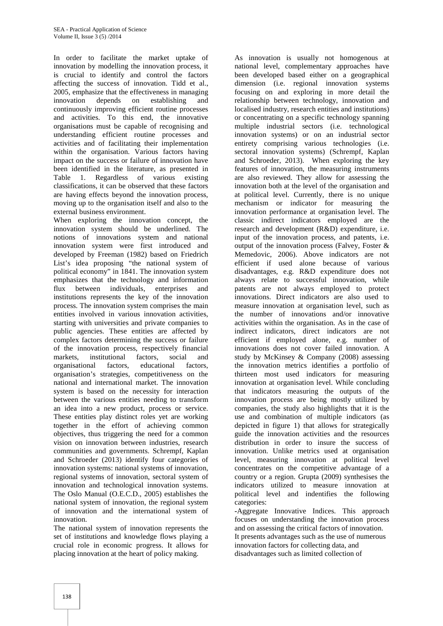In order to facilitate the market uptake of innovation by modelling the innovation process, it is crucial to identify and control the factors affecting the success of innovation. Tidd et al., 2005, emphasize that the effectiveness in managing innovation depends on establishing and continuously improving efficient routine processes and activities. To this end, the innovative organisations must be capable of recognising and understanding efficient routine processes and activities and of facilitating their implementation within the organisation. Various factors having impact on the success or failure of innovation have been identified in the literature, as presented in Table 1. Regardless of various existing classifications, it can be observed that these factors are having effects beyond the innovation process, moving up to the organisation itself and also to the external business environment.

When exploring the innovation concept, the innovation system should be underlined. The notions of innovations system and national innovation system were first introduced and developed by Freeman (1982) based on Friedrich List's idea proposing "the national system of political economy" in 1841. The innovation system emphasizes that the technology and information flux between individuals, enterprises and institutions represents the key of the innovation process. The innovation system comprises the main entities involved in various innovation activities, starting with universities and private companies to public agencies. These entities are affected by complex factors determining the success or failure of the innovation process, respectively financial markets, institutional factors, social and organisational factors, educational factors, organisation's strategies, competitiveness on the national and international market. The innovation system is based on the necessity for interaction between the various entities needing to transform an idea into a new product, process or service. These entities play distinct roles yet are working together in the effort of achieving common objectives, thus triggering the need for a common vision on innovation between industries, research communities and governments. Schrempf, Kaplan and Schroeder (2013) identify four categories of innovation systems: national systems of innovation, regional systems of innovation, sectoral system of innovation and technological innovation systems. The Oslo Manual (O.E.C.D., 2005) establishes the national system of innovation, the regional system of innovation and the international system of innovation.

The national system of innovation represents the set of institutions and knowledge flows playing a crucial role in economic progress. It allows for placing innovation at the heart of policy making.

As innovation is usually not homogenous at national level, complementary approaches have been developed based either on a geographical dimension (i.e. regional innovation systems focusing on and exploring in more detail the relationship between technology, innovation and localised industry, research entities and institutions) or concentrating on a specific technology spanning multiple industrial sectors (i.e. technological innovation systems) or on an industrial sector entirety comprising various technologies (i.e. sectoral innovation systems) (Schrempf, Kaplan and Schroeder, 2013). When exploring the key features of innovation, the measuring instruments are also reviewed. They allow for assessing the innovation both at the level of the organisation and at political level. Currently, there is no unique mechanism or indicator for measuring the innovation performance at organisation level. The classic indirect indicators employed are the research and development (R&D) expenditure, i.e. input of the innovation process, and patents, i.e. output of the innovation process (Falvey, Foster & Memedovic, 2006). Above indicators are not efficient if used alone because of various disadvantages, e.g. R&D expenditure does not always relate to successful innovation, while patents are not always employed to protect innovations. Direct indicators are also used to measure innovation at organisation level, such as the number of innovations and/or innovative activities within the organisation. As in the case of indirect indicators, direct indicators are not efficient if employed alone, e.g. number of innovations does not cover failed innovation. A study by McKinsey & Company (2008) assessing the innovation metrics identifies a portfolio of thirteen most used indicators for measuring innovation at organisation level. While concluding that indicators measuring the outputs of the innovation process are being mostly utilized by companies, the study also highlights that it is the use and combination of multiple indicators (as depicted in figure 1) that allows for strategically guide the innovation activities and the resources distribution in order to insure the success of innovation. Unlike metrics used at organisation level, measuring innovation at political level concentrates on the competitive advantage of a country or a region. Grupta (2009) synthesises the indicators utilized to measure innovation at political level and indentifies the following categories:

**-**Aggregate Innovative Indices. This approach focuses on understanding the innovation process and on assessing the critical factors of innovation. It presents advantages such as the use of numerous innovation factors for collecting data, and disadvantages such as limited collection of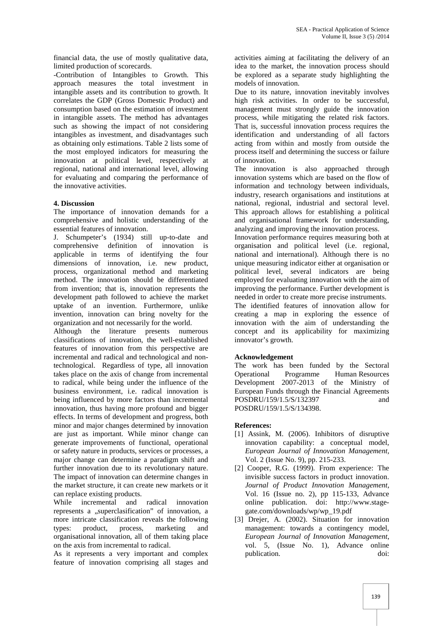financial data, the use of mostly qualitative data, limited production of scorecards.

-Contribution of Intangibles to Growth. This approach measures the total investment in intangible assets and its contribution to growth. It correlates the GDP (Gross Domestic Product) and consumption based on the estimation of investment in intangible assets. The method has advantages such as showing the impact of not considering intangibles as investment, and disadvantages such as obtaining only estimations. Table 2 lists some of the most employed indicators for measuring the innovation at political level, respectively at regional, national and international level, allowing for evaluating and comparing the performance of the innovative activities.

#### **4. Discussion**

The importance of innovation demands for a comprehensive and holistic understanding of the essential features of innovation.

J. Schumpeter's (1934) still up-to-date and comprehensive definition of innovation is applicable in terms of identifying the four dimensions of innovation, i.e. new product, process, organizational method and marketing method. The innovation should be differentiated from invention; that is, innovation represents the development path followed to achieve the market uptake of an invention. Furthermore, unlike invention, innovation can bring novelty for the organization and not necessarily for the world.

Although the literature presents numerous classifications of innovation, the well-established features of innovation from this perspective are incremental and radical and technological and nontechnological. Regardless of type, all innovation takes place on the axis of change from incremental to radical, while being under the influence of the business environment, i.e. radical innovation is being influenced by more factors than incremental innovation, thus having more profound and bigger effects. In terms of development and progress, both minor and major changes determined by innovation are just as important. While minor change can generate improvements of functional, operational or safety nature in products, services or processes, a major change can determine a paradigm shift and further innovation due to its revolutionary nature. The impact of innovation can determine changes in the market structure, it can create new markets or it can replace existing products.

While incremental and radical innovation represents a "superclasification" of innovation, a more intricate classification reveals the following types: product, process, marketing and organisational innovation, all of them taking place on the axis from incremental to radical.

As it represents a very important and complex feature of innovation comprising all stages and

activities aiming at facilitating the delivery of an idea to the market, the innovation process should be explored as a separate study highlighting the models of innovation.

Due to its nature, innovation inevitably involves high risk activities. In order to be successful, management must strongly guide the innovation process, while mitigating the related risk factors. That is, successful innovation process requires the identification and understanding of all factors acting from within and mostly from outside the process itself and determining the success or failure of innovation.

The innovation is also approached through innovation systems which are based on the flow of information and technology between individuals, industry, research organisations and institutions at national, regional, industrial and sectoral level. This approach allows for establishing a political and organisational framework for understanding, analyzing and improving the innovation process.

Innovation performance requires measuring both at organisation and political level (i.e. regional, national and international). Although there is no unique measuring indicator either at organisation or political level, several indicators are being employed for evaluating innovation with the aim of improving the performance. Further development is needed in order to create more precise instruments.

The identified features of innovation allow for creating a map in exploring the essence of innovation with the aim of understanding the concept and its applicability for maximizing innovator's growth.

### **Acknowledgement**

The work has been funded by the Sectoral Operational Programme Human Resources Development 2007-2013 of the Ministry of European Funds through the Financial Agreements POSDRU/159/1.5/S/132397 and POSDRU/159/1.5/S/134398.

#### **References:**

- [1] Assink, M. (2006). Inhibitors of disruptive innovation capability: a conceptual model, *European Journal of Innovation Management,* Vol. 2 (Issue No. 9), pp. 215-233.
- [2] Cooper, R.G. (1999). From experience: The invisible success factors in product innovation. *Journal of Product Innovation Management*, Vol. 16 (Issue no. 2), pp 115-133, Advance online publication. doi: http://www.stage gate.com/downloads/wp/wp\_19.pdf
- [3] Drejer, A. (2002). Situation for innovation management: towards a contingency model, *European Journal of Innovation Management*, vol. 5, (Issue No. 1), Advance online publication. doi: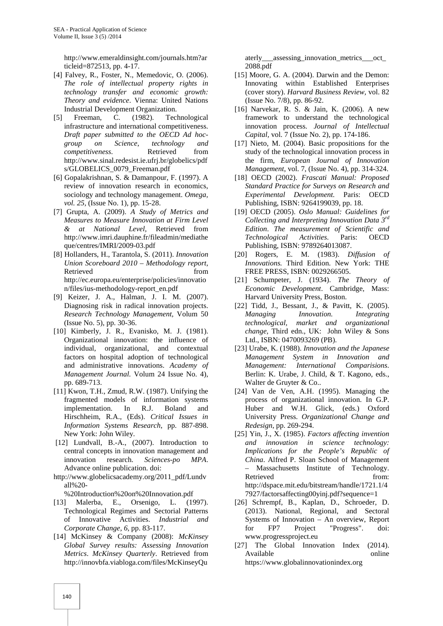http://www.emeraldinsight.com/journals.htm?ar ticleid=872513, pp. 4-17.

- [4] Falvey, R., Foster, N., Memedovic, O. (2006). *The role of intellectual property rights in technology transfer and economic growth: Theory and evidence*. Vienna: United Nations Industrial Development Organization.
- [5] Freeman, C. (1982). Technological infrastructure and international competitiveness. *Draft paper submitted to the OECD Ad hoc group on Science*, *technology and competitiveness*. Retrieved from http://www.sinal.redesist.ie.ufrj.br/globelics/pdf s/GLOBELICS\_0079\_Freeman.pdf
- [6] Gopalakrishnan, S. & Damanpour, F. (1997). A review of innovation research in economics, sociology and technology management. *Omega, vol. 25,* (Issue No. 1), pp. 15-28.
- [7] Grupta, A. (2009). *A Study of Metrics and Measures to Measure Innovation at Firm Level & at National Level,* Retrieved from http://www.imri.dauphine.fr/fileadmin/mediathe que/centres/IMRI/2009-03.pdf
- [8] Hollanders, H., Tarantola, S. (2011). *Innovation Union Scoreboard 2010 – Methodology report*, Retrieved from  $\sim$ http://ec.europa.eu/enterprise/policies/innovatio n/files/ius-methodology-report\_en.pdf
- [9] Keizer, J. A., Halman, J. I. M. (2007). Diagnosing risk in radical innovation projects. *Research Technology Management,* Volum 50 (Issue No. 5), pp. 30-36.
- [10] Kimberly, J. R., Evanisko, M. J. (1981). Organizational innovation: the influence of individual, organizational, and contextual factors on hospital adoption of technological and administrative innovations. *Academy of Management Journal.* Volum 24 Issue No. 4), pp. 689-713.
- [11] Kwon, T.H., Zmud, R.W. (1987). Unifying the fragmented models of information systems implementation. In R.J. Boland and Hirschheim, R.A., (Eds). *Critical Issues in Information Systems Research*, pp. 887-898. New York: John Wiley.
- [12] Lundvall, B.-A., (2007). Introduction to central concepts in innovation management and innovation research. *Sciences-po MPA*. Advance online publication. doi:
- http://www.globelicsacademy.org/2011\_pdf/Lundv all%20-

%20Introduction%20on%20Innovation.pdf

- [13] Malerba, E., Orsenigo, L. (1997). Technological Regimes and Sectorial Patterns of Innovative Activities. *Industrial and Corporate Change, 6*, pp. 83-117.
- [14] McKinsey & Company (2008): *McKinsey Global Survey results: Assessing Innovation Metrics*. *McKinsey Quarterly*. Retrieved from http://innovbfa.viabloga.com/files/McKinseyQu

aterly\_\_\_assessing\_innovation\_metrics\_\_\_oct\_ 2088.pdf

- [15] Moore, G. A. (2004). Darwin and the Demon: Innovating within Established Enterprises (cover story). *Harvard Business Review,* vol. 82 (Issue No. 7/8), pp. 86-92.
- [16] Narvekar, R. S. & Jain, K. (2006). A new framework to understand the technological innovation process. *Journal of Intellectual Capital,* vol. 7 (Issue No. 2), pp. 174-186.
- [17] Nieto, M. (2004). Basic propositions for the study of the technological innovation process in the firm, *European Journal of Innovation Management*, vol. 7, (Issue No. 4), pp. 314-324.
- [18] OECD (2002). *Frascati Manual: Proposed Standard Practice for Surveys on Research and Experimental Development.* Paris: OECD Publishing, ISBN: 9264199039, pp. 18.
- [19] OECD (2005). *Oslo Manual: Guidelines for Collecting and Interpreting Innovation Data 3rd Edition*. *The measurement of Scientific and Technological Activities*. Paris: OECD Publishing, ISBN: 9789264013087.
- [20] Rogers, E. M. (1983). *Diffusion of Innovations.* Third Edition. New York: THE FREE PRESS, ISBN: 0029266505.
- [21] Schumpeter, J. (1934). *The Theory of Economic Development*. Cambridge, Mass: Harvard University Press, Boston.
- [22] Tidd, J., Bessant, J., & Pavitt, K. (2005). *Managing Innovation. Integrating technological, market and organizational change,* Third edn., UK: John Wiley & Sons Ltd., ISBN: 0470093269 (PB).
- [23] Urabe, K. (1988). *Innovation and the Japanese Management System in Innovation and Management: International Comparisions*. Berlin: K. Urabe, J. Child, & T. Kagono, eds., Walter de Gruyter & Co..
- [24] Van de Ven, A.H. (1995). Managing the process of organizational innovation. In G.P. Huber and W.H. Glick, (eds.) Oxford University Press. *Organizational Change and Redesign*, pp. 269-294.
- [25] Yin, J., X. (1985). *Factors affecting invention and innovation in science technology: Implications for the People's Republic of China*. Alfred P. Sloan School of Management – Massachusetts Institute of Technology. Retrieved from: http://dspace.mit.edu/bitstream/handle/1721.1/4 7927/factorsaffecting00yinj.pdf?sequence=1
- [26] Schrempf, B., Kaplan, D., Schroeder, D. (2013). National, Regional, and Sectoral Systems of Innovation – An overview, Report for FP7 Project "Progress". doi: www.progressproject.eu
- [27] The Global Innovation Index (2014). Available online https://www.globalinnovationindex.org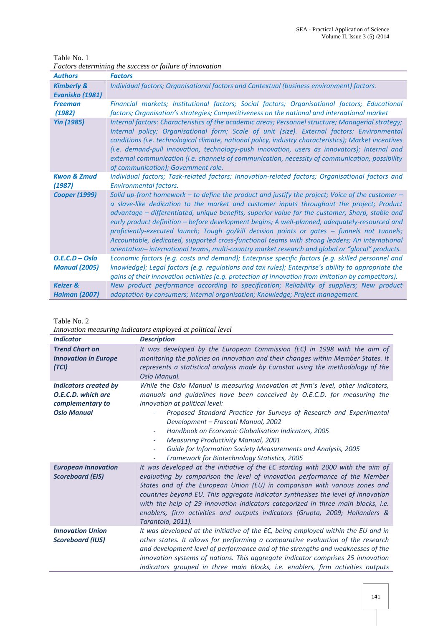Table No. 1 *Factors determining the success or failure of innovation*

| <b>Authors</b>                              | <b>Factors</b>                                                                                                                                                                                                                                                                                                                                                                                                                                                                                                                                                                                                                                                                                         |  |
|---------------------------------------------|--------------------------------------------------------------------------------------------------------------------------------------------------------------------------------------------------------------------------------------------------------------------------------------------------------------------------------------------------------------------------------------------------------------------------------------------------------------------------------------------------------------------------------------------------------------------------------------------------------------------------------------------------------------------------------------------------------|--|
| <b>Kimberly &amp;</b><br>Evanisko (1981)    | Individual factors; Organisational factors and Contextual (business environment) factors.                                                                                                                                                                                                                                                                                                                                                                                                                                                                                                                                                                                                              |  |
| <b>Freeman</b><br>(1982)                    | Financial markets; Institutional factors; Social factors; Organisational factors; Educational<br>factors; Organisation's strategies; Competitiveness on the national and international market                                                                                                                                                                                                                                                                                                                                                                                                                                                                                                          |  |
| <b>Yin (1985)</b>                           | Internal factors: Characteristics of the academic areas; Personnel structure; Managerial strategy;<br>Internal policy; Organisational form; Scale of unit (size). External factors: Environmental<br>conditions (i.e. technological climate, national policy, industry characteristics); Market incentives<br>(i.e. demand-pull innovation, technology-push innovation, users as innovators); Internal and<br>external communication (i.e. channels of communication, necessity of communication, possibility<br>of communication); Government role.                                                                                                                                                   |  |
| <b>Kwon &amp; Zmud</b><br>(1987)            | Individual factors; Task-related factors; Innovation-related factors; Organisational factors and<br><b>Environmental factors.</b>                                                                                                                                                                                                                                                                                                                                                                                                                                                                                                                                                                      |  |
| <b>Cooper (1999)</b>                        | Solid up-front homework – to define the product and justify the project; Voice of the customer –<br>a slave-like dedication to the market and customer inputs throughout the project; Product<br>advantage – differentiated, unique benefits, superior value for the customer; Sharp, stable and<br>early product definition - before development begins; A well-planned, adequately-resourced and<br>proficiently-executed launch; Tough go/kill decision points or gates – funnels not tunnels;<br>Accountable, dedicated, supported cross-functional teams with strong leaders; An international<br>orientation-international teams, multi-country market research and global or "glocal" products. |  |
| $O.E.C.D - Oslo$<br><b>Manual (2005)</b>    | Economic factors (e.g. costs and demand); Enterprise specific factors (e.g. skilled personnel and<br>knowledge); Legal factors (e.g. regulations and tax rules); Enterprise's ability to appropriate the<br>gains of their innovation activities (e.g. protection of innovation from imitation by competitors).                                                                                                                                                                                                                                                                                                                                                                                        |  |
| <b>Keizer &amp;</b><br><b>Halman (2007)</b> | New product performance according to specification; Reliability of suppliers; New product<br>adaptation by consumers; Internal organisation; Knowledge; Project management.                                                                                                                                                                                                                                                                                                                                                                                                                                                                                                                            |  |

Table No. 2

*Innovation measuring indicators employed at political level*

| <b>Indicator</b>                                                                             | <b>Description</b>                                                                                                                                                                                                                                                                                                                                                                                                                                                                                                                                                                                                  |
|----------------------------------------------------------------------------------------------|---------------------------------------------------------------------------------------------------------------------------------------------------------------------------------------------------------------------------------------------------------------------------------------------------------------------------------------------------------------------------------------------------------------------------------------------------------------------------------------------------------------------------------------------------------------------------------------------------------------------|
| <b>Trend Chart on</b><br><b>Innovation in Europe</b><br>(TCI)                                | It was developed by the European Commission (EC) in 1998 with the aim of<br>monitoring the policies on innovation and their changes within Member States. It<br>represents a statistical analysis made by Eurostat using the methodology of the<br>Oslo Manual.                                                                                                                                                                                                                                                                                                                                                     |
| <b>Indicators created by</b><br>O.E.C.D. which are<br>complementary to<br><b>Oslo Manual</b> | While the Oslo Manual is measuring innovation at firm's level, other indicators,<br>manuals and quidelines have been conceived by O.E.C.D. for measuring the<br>innovation at political level:<br>Proposed Standard Practice for Surveys of Research and Experimental<br>Development - Frascati Manual, 2002<br>Handbook on Economic Globalisation Indicators, 2005<br>$\overline{\phantom{a}}$<br><b>Measuring Productivity Manual, 2001</b><br>$\overline{\phantom{a}}$<br>Guide for Information Society Measurements and Analysis, 2005<br><b>Framework for Biotechnology Statistics, 2005</b><br>$\blacksquare$ |
| <b>European Innovation</b><br><b>Scoreboard (EIS)</b>                                        | It was developed at the initiative of the EC starting with 2000 with the aim of<br>evaluating by comparison the level of innovation performance of the Member<br>States and of the European Union (EU) in comparison with various zones and<br>countries beyond EU. This aggregate indicator synthesises the level of innovation<br>with the help of 29 innovation indicators categorized in three main blocks, i.e.<br>enablers, firm activities and outputs indicators (Grupta, 2009; Hollanders &<br>Tarantola, 2011).                                                                                           |
| <b>Innovation Union</b><br><b>Scoreboard (IUS)</b>                                           | It was developed at the initiative of the EC, being employed within the EU and in<br>other states. It allows for performing a comparative evaluation of the research<br>and development level of performance and of the strengths and weaknesses of the<br>innovation systems of nations. This aggregate indicator comprises 25 innovation<br>indicators grouped in three main blocks, i.e. enablers, firm activities outputs                                                                                                                                                                                       |